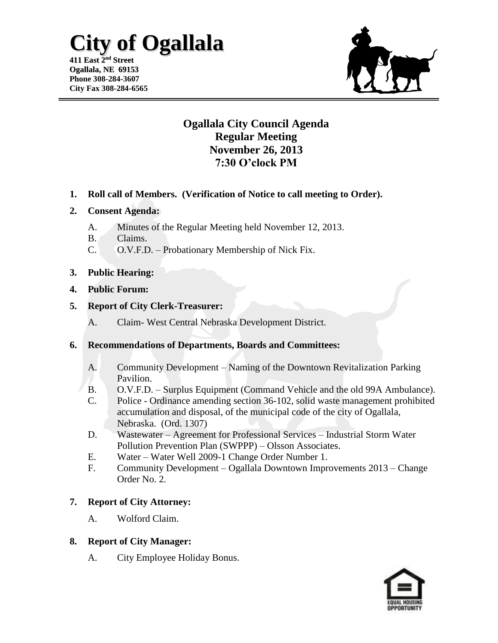## **City of Ogallala**

**411 East 2 nd Street Ogallala, NE 69153 Phone 308-284-3607 City Fax 308-284-6565**



### **Ogallala City Council Agenda Regular Meeting November 26, 2013 7:30 O'clock PM**

**1. Roll call of Members. (Verification of Notice to call meeting to Order).**

#### **2. Consent Agenda:**

- A. Minutes of the Regular Meeting held November 12, 2013.
- B. Claims.
- C. O.V.F.D. Probationary Membership of Nick Fix.

#### **3. Public Hearing:**

- **4. Public Forum:**
- **5. Report of City Clerk-Treasurer:**
	- A. Claim- West Central Nebraska Development District.

#### **6. Recommendations of Departments, Boards and Committees:**

- A. Community Development Naming of the Downtown Revitalization Parking Pavilion.
- B. O.V.F.D. Surplus Equipment (Command Vehicle and the old 99A Ambulance).
- C. Police Ordinance amending section 36-102, solid waste management prohibited accumulation and disposal, of the municipal code of the city of Ogallala, Nebraska. (Ord. 1307)
- D. Wastewater Agreement for Professional Services Industrial Storm Water Pollution Prevention Plan (SWPPP) – Olsson Associates.
- E. Water Water Well 2009-1 Change Order Number 1.
- F. Community Development Ogallala Downtown Improvements 2013 Change Order No. 2.

#### **7. Report of City Attorney:**

A. Wolford Claim.

#### **8. Report of City Manager:**

A. City Employee Holiday Bonus.